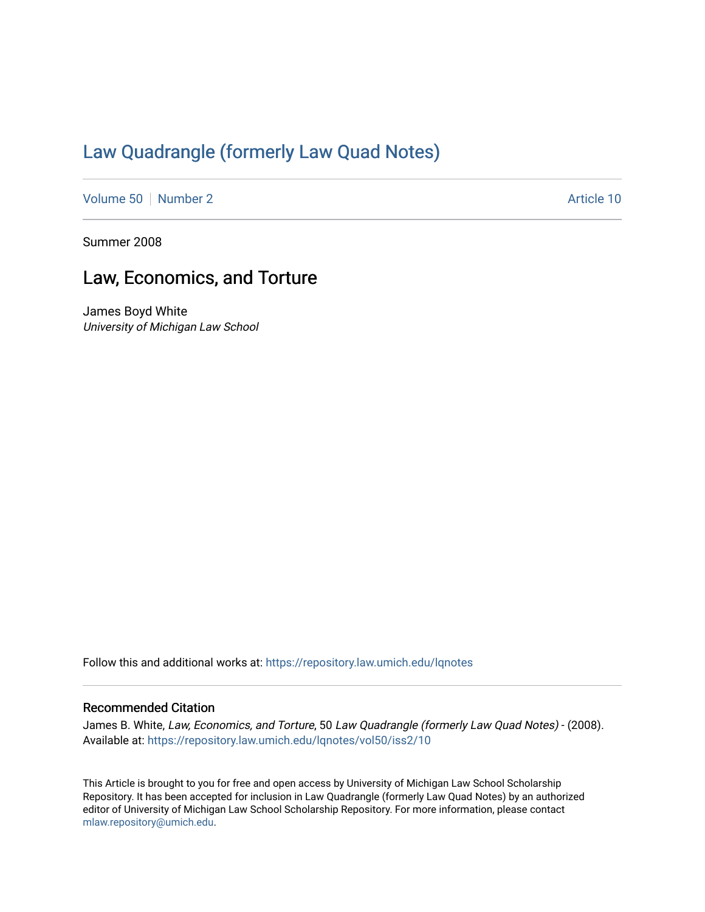# [Law Quadrangle \(formerly Law Quad Notes\)](https://repository.law.umich.edu/lqnotes)

[Volume 50](https://repository.law.umich.edu/lqnotes/vol50) [Number 2](https://repository.law.umich.edu/lqnotes/vol50/iss2) Article 10

Summer 2008

## Law, Economics, and Torture

James Boyd White University of Michigan Law School

Follow this and additional works at: [https://repository.law.umich.edu/lqnotes](https://repository.law.umich.edu/lqnotes?utm_source=repository.law.umich.edu%2Flqnotes%2Fvol50%2Fiss2%2F10&utm_medium=PDF&utm_campaign=PDFCoverPages) 

### Recommended Citation

James B. White, Law, Economics, and Torture, 50 Law Quadrangle (formerly Law Quad Notes) - (2008). Available at: [https://repository.law.umich.edu/lqnotes/vol50/iss2/10](https://repository.law.umich.edu/lqnotes/vol50/iss2/10?utm_source=repository.law.umich.edu%2Flqnotes%2Fvol50%2Fiss2%2F10&utm_medium=PDF&utm_campaign=PDFCoverPages)

This Article is brought to you for free and open access by University of Michigan Law School Scholarship Repository. It has been accepted for inclusion in Law Quadrangle (formerly Law Quad Notes) by an authorized editor of University of Michigan Law School Scholarship Repository. For more information, please contact [mlaw.repository@umich.edu.](mailto:mlaw.repository@umich.edu)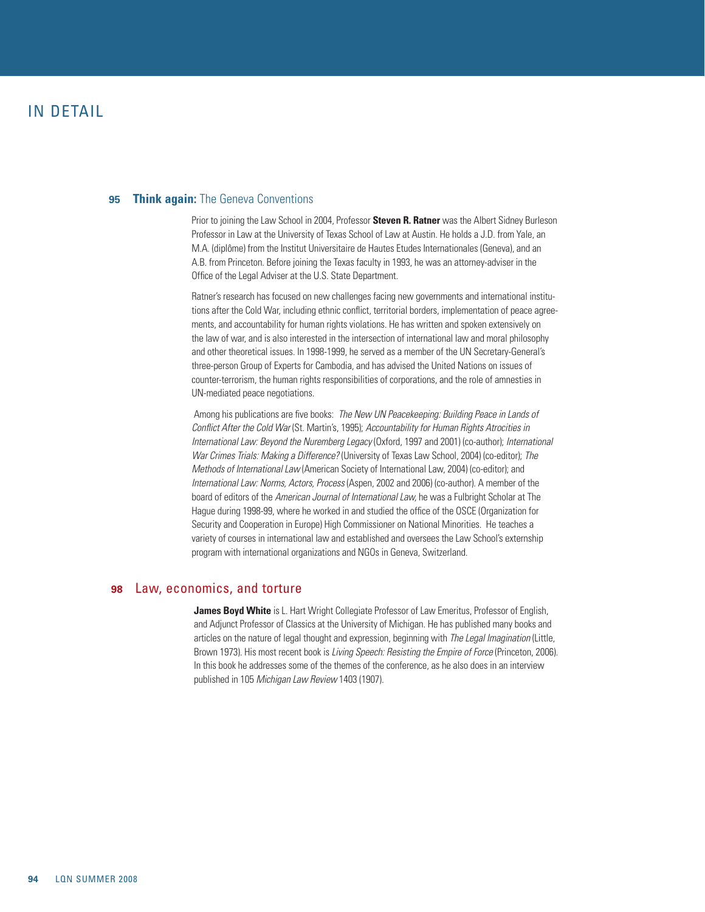### **95 Think again:** The Geneva Conventions

Prior to joining the Law School in 2004, Professor **Steven R. Ratner** was the Albert Sidney Burleson Professor in Law at the University of Texas School of Law at Austin. He holds a J.D. from Yale, an M.A. (diplôme) from the Institut Universitaire de Hautes Etudes Internationales (Geneva), and an A.B. from Princeton. Before joining the Texas faculty in 1993, he was an attorney-adviser in the Office of the Legal Adviser at the U.S. State Department.

Ratner's research has focused on new challenges facing new governments and international institutions after the Cold War, including ethnic conflict, territorial borders, implementation of peace agreements, and accountability for human rights violations. He has written and spoken extensively on the law of war, and is also interested in the intersection of international law and moral philosophy and other theoretical issues. In 1998-1999, he served as a member of the UN Secretary-General's three-person Group of Experts for Cambodia, and has advised the United Nations on issues of counter-terrorism, the human rights responsibilities of corporations, and the role of amnesties in UN-mediated peace negotiations.

 Among his publications are five books: *The New UN Peacekeeping: Building Peace in Lands of Conflict After the Cold War* (St. Martin's, 1995); *Accountability for Human Rights Atrocities in International Law: Beyond the Nuremberg Legacy* (Oxford, 1997 and 2001) (co-author); *International War Crimes Trials: Making a Difference?* (University of Texas Law School, 2004) (co-editor); *The Methods of International Law* (American Society of International Law, 2004) (co-editor); and *International Law: Norms, Actors, Process* (Aspen, 2002 and 2006) (co-author). A member of the board of editors of the *American Journal of International Law,* he was a Fulbright Scholar at The Hague during 1998-99, where he worked in and studied the office of the OSCE (Organization for Security and Cooperation in Europe) High Commissioner on National Minorities. He teaches a variety of courses in international law and established and oversees the Law School's externship program with international organizations and NGOs in Geneva, Switzerland.

### **98** Law, economics, and torture

**James Boyd White** is L. Hart Wright Collegiate Professor of Law Emeritus, Professor of English, and Adjunct Professor of Classics at the University of Michigan. He has published many books and articles on the nature of legal thought and expression, beginning with *The Legal Imagination* (Little, Brown 1973). His most recent book is *Living Speech: Resisting the Empire of Force* (Princeton, 2006). In this book he addresses some of the themes of the conference, as he also does in an interview published in 105 *Michigan Law Review* 1403 (1907).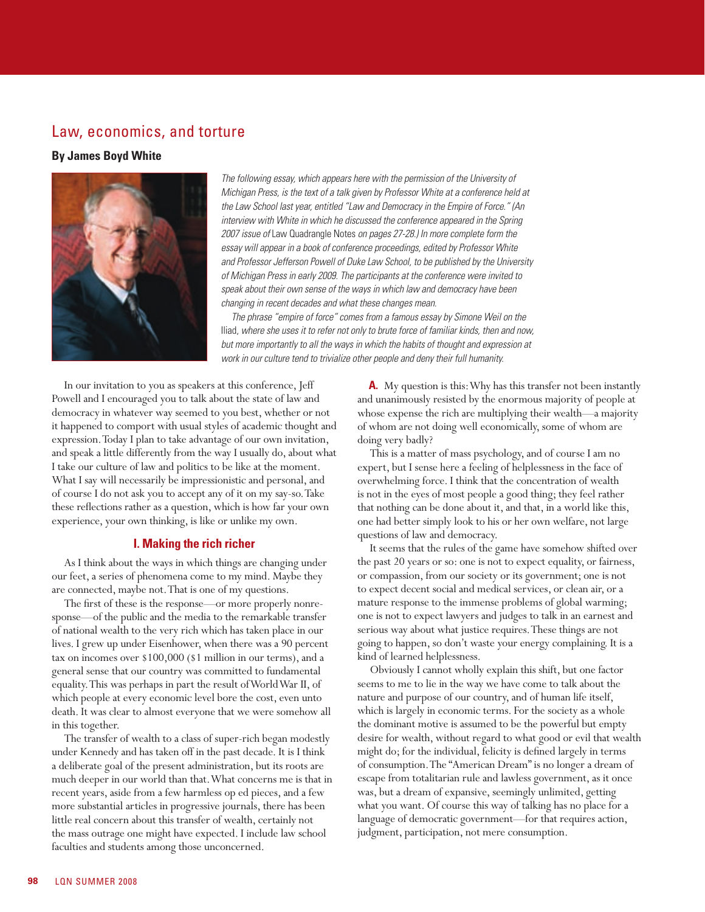### Law, economics, and torture

### **By James Boyd White**



*The following essay, which appears here with the permission of the University of Michigan Press, is the text of a talk given by Professor White at a conference held at the Law School last year, entitled "Law and Democracy in the Empire of Force." (An interview with White in which he discussed the conference appeared in the Spring 2007 issue of* Law Quadrangle Notes *on pages 27-28.) In more complete form the essay will appear in a book of conference proceedings, edited by Professor White and Professor Jefferson Powell of Duke Law School, to be published by the University of Michigan Press in early 2009. The participants at the conference were invited to speak about their own sense of the ways in which law and democracy have been changing in recent decades and what these changes mean.*

*The phrase "empire of force" comes from a famous essay by Simone Weil on the*  Iliad, *where she uses it to refer not only to brute force of familiar kinds, then and now, but more importantly to all the ways in which the habits of thought and expression at work in our culture tend to trivialize other people and deny their full humanity.*

In our invitation to you as speakers at this conference, Jeff Powell and I encouraged you to talk about the state of law and democracy in whatever way seemed to you best, whether or not it happened to comport with usual styles of academic thought and expression. Today I plan to take advantage of our own invitation, and speak a little differently from the way I usually do, about what I take our culture of law and politics to be like at the moment. What I say will necessarily be impressionistic and personal, and of course I do not ask you to accept any of it on my say-so. Take these reflections rather as a question, which is how far your own experience, your own thinking, is like or unlike my own.

#### **I. Making the rich richer**

As I think about the ways in which things are changing under our feet, a series of phenomena come to my mind. Maybe they are connected, maybe not. That is one of my questions.

The first of these is the response—or more properly nonresponse—of the public and the media to the remarkable transfer of national wealth to the very rich which has taken place in our lives. I grew up under Eisenhower, when there was a 90 percent tax on incomes over \$100,000 (\$1 million in our terms), and a general sense that our country was committed to fundamental equality. This was perhaps in part the result of World War II, of which people at every economic level bore the cost, even unto death. It was clear to almost everyone that we were somehow all in this together.

The transfer of wealth to a class of super-rich began modestly under Kennedy and has taken off in the past decade. It is I think a deliberate goal of the present administration, but its roots are much deeper in our world than that. What concerns me is that in recent years, aside from a few harmless op ed pieces, and a few more substantial articles in progressive journals, there has been little real concern about this transfer of wealth, certainly not the mass outrage one might have expected. I include law school faculties and students among those unconcerned.

**A.** My question is this: Why has this transfer not been instantly and unanimously resisted by the enormous majority of people at whose expense the rich are multiplying their wealth—a majority of whom are not doing well economically, some of whom are doing very badly?

This is a matter of mass psychology, and of course I am no expert, but I sense here a feeling of helplessness in the face of overwhelming force. I think that the concentration of wealth is not in the eyes of most people a good thing; they feel rather that nothing can be done about it, and that, in a world like this, one had better simply look to his or her own welfare, not large questions of law and democracy.

It seems that the rules of the game have somehow shifted over the past 20 years or so: one is not to expect equality, or fairness, or compassion, from our society or its government; one is not to expect decent social and medical services, or clean air, or a mature response to the immense problems of global warming; one is not to expect lawyers and judges to talk in an earnest and serious way about what justice requires. These things are not going to happen, so don't waste your energy complaining. It is a kind of learned helplessness.

Obviously I cannot wholly explain this shift, but one factor seems to me to lie in the way we have come to talk about the nature and purpose of our country, and of human life itself, which is largely in economic terms. For the society as a whole the dominant motive is assumed to be the powerful but empty desire for wealth, without regard to what good or evil that wealth might do; for the individual, felicity is defined largely in terms of consumption. The "American Dream" is no longer a dream of escape from totalitarian rule and lawless government, as it once was, but a dream of expansive, seemingly unlimited, getting what you want. Of course this way of talking has no place for a language of democratic government—for that requires action, judgment, participation, not mere consumption.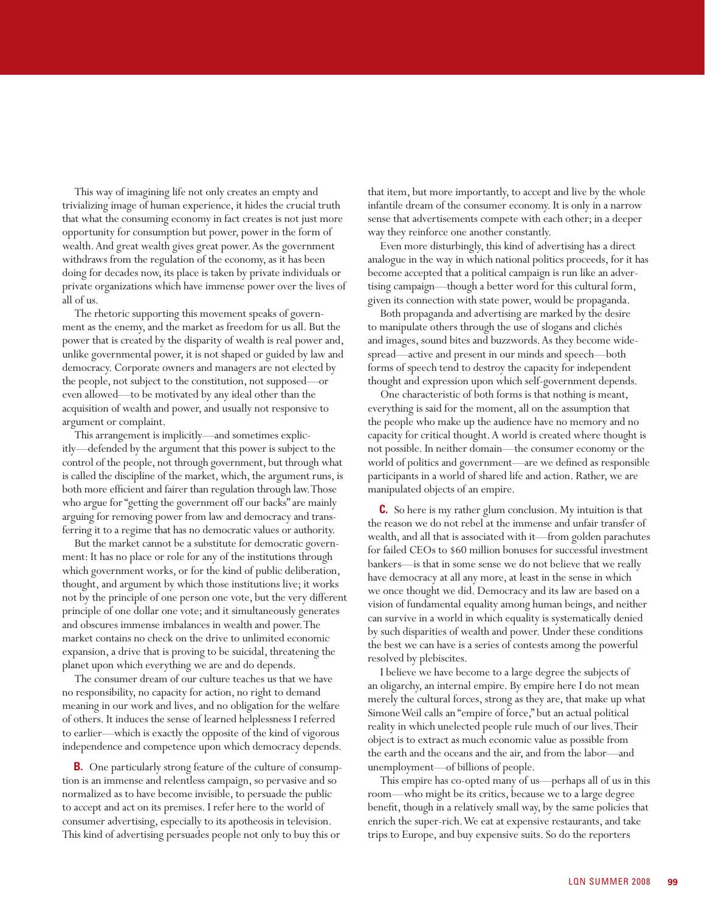This way of imagining life not only creates an empty and trivializing image of human experience, it hides the crucial truth that what the consuming economy in fact creates is not just more opportunity for consumption but power, power in the form of wealth. And great wealth gives great power. As the government withdraws from the regulation of the economy, as it has been doing for decades now, its place is taken by private individuals or private organizations which have immense power over the lives of all of us.

The rhetoric supporting this movement speaks of government as the enemy, and the market as freedom for us all. But the power that is created by the disparity of wealth is real power and, unlike governmental power, it is not shaped or guided by law and democracy. Corporate owners and managers are not elected by the people, not subject to the constitution, not supposed—or even allowed—to be motivated by any ideal other than the acquisition of wealth and power, and usually not responsive to argument or complaint.

This arrangement is implicitly—and sometimes explicitly—defended by the argument that this power is subject to the control of the people, not through government, but through what is called the discipline of the market, which, the argument runs, is both more efficient and fairer than regulation through law. Those who argue for "getting the government off our backs" are mainly arguing for removing power from law and democracy and transferring it to a regime that has no democratic values or authority.

But the market cannot be a substitute for democratic government: It has no place or role for any of the institutions through which government works, or for the kind of public deliberation, thought, and argument by which those institutions live; it works not by the principle of one person one vote, but the very different principle of one dollar one vote; and it simultaneously generates and obscures immense imbalances in wealth and power. The market contains no check on the drive to unlimited economic expansion, a drive that is proving to be suicidal, threatening the planet upon which everything we are and do depends.

The consumer dream of our culture teaches us that we have no responsibility, no capacity for action, no right to demand meaning in our work and lives, and no obligation for the welfare of others. It induces the sense of learned helplessness I referred to earlier—which is exactly the opposite of the kind of vigorous independence and competence upon which democracy depends.

**B.** One particularly strong feature of the culture of consumption is an immense and relentless campaign, so pervasive and so normalized as to have become invisible, to persuade the public to accept and act on its premises. I refer here to the world of consumer advertising, especially to its apotheosis in television. This kind of advertising persuades people not only to buy this or

that item, but more importantly, to accept and live by the whole infantile dream of the consumer economy. It is only in a narrow sense that advertisements compete with each other; in a deeper way they reinforce one another constantly.

Even more disturbingly, this kind of advertising has a direct analogue in the way in which national politics proceeds, for it has become accepted that a political campaign is run like an advertising campaign—though a better word for this cultural form, given its connection with state power, would be propaganda.

Both propaganda and advertising are marked by the desire to manipulate others through the use of slogans and clichés and images, sound bites and buzzwords. As they become widespread—active and present in our minds and speech—both forms of speech tend to destroy the capacity for independent thought and expression upon which self-government depends.

One characteristic of both forms is that nothing is meant, everything is said for the moment, all on the assumption that the people who make up the audience have no memory and no capacity for critical thought. A world is created where thought is not possible. In neither domain—the consumer economy or the world of politics and government—are we defined as responsible participants in a world of shared life and action. Rather, we are manipulated objects of an empire.

**C.** So here is my rather glum conclusion. My intuition is that the reason we do not rebel at the immense and unfair transfer of wealth, and all that is associated with it—from golden parachutes for failed CEOs to \$60 million bonuses for successful investment bankers—is that in some sense we do not believe that we really have democracy at all any more, at least in the sense in which we once thought we did. Democracy and its law are based on a vision of fundamental equality among human beings, and neither can survive in a world in which equality is systematically denied by such disparities of wealth and power. Under these conditions the best we can have is a series of contests among the powerful resolved by plebiscites.

I believe we have become to a large degree the subjects of an oligarchy, an internal empire. By empire here I do not mean merely the cultural forces, strong as they are, that make up what Simone Weil calls an "empire of force," but an actual political reality in which unelected people rule much of our lives. Their object is to extract as much economic value as possible from the earth and the oceans and the air, and from the labor—and unemployment—of billions of people.

This empire has co-opted many of us—perhaps all of us in this room—who might be its critics, because we to a large degree benefit, though in a relatively small way, by the same policies that enrich the super-rich. We eat at expensive restaurants, and take trips to Europe, and buy expensive suits. So do the reporters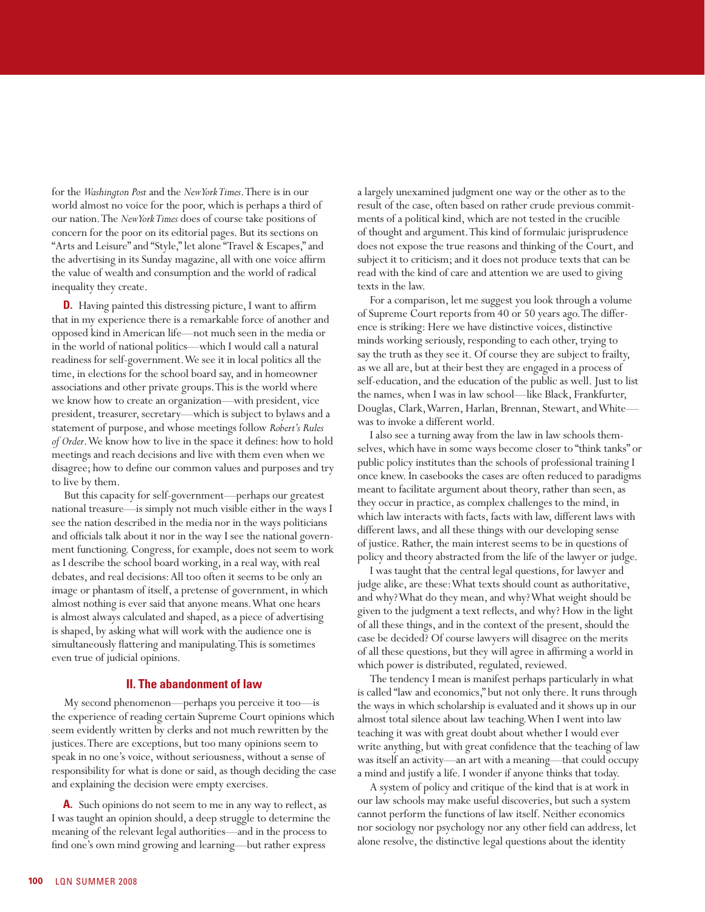for the *Washington Post* and the *New York Times*. There is in our world almost no voice for the poor, which is perhaps a third of our nation. The *New York Times* does of course take positions of concern for the poor on its editorial pages. But its sections on "Arts and Leisure" and "Style," let alone "Travel & Escapes," and the advertising in its Sunday magazine, all with one voice affirm the value of wealth and consumption and the world of radical inequality they create.

**D.** Having painted this distressing picture, I want to affirm that in my experience there is a remarkable force of another and opposed kind in American life—not much seen in the media or in the world of national politics—which I would call a natural readiness for self-government. We see it in local politics all the time, in elections for the school board say, and in homeowner associations and other private groups. This is the world where we know how to create an organization—with president, vice president, treasurer, secretary—which is subject to bylaws and a statement of purpose, and whose meetings follow *Robert's Rules of Order*. We know how to live in the space it defines: how to hold meetings and reach decisions and live with them even when we disagree; how to define our common values and purposes and try to live by them.

But this capacity for self-government—perhaps our greatest national treasure—is simply not much visible either in the ways I see the nation described in the media nor in the ways politicians and officials talk about it nor in the way I see the national government functioning. Congress, for example, does not seem to work as I describe the school board working, in a real way, with real debates, and real decisions: All too often it seems to be only an image or phantasm of itself, a pretense of government, in which almost nothing is ever said that anyone means. What one hears is almost always calculated and shaped, as a piece of advertising is shaped, by asking what will work with the audience one is simultaneously flattering and manipulating. This is sometimes even true of judicial opinions.

### **II. The abandonment of law**

My second phenomenon—perhaps you perceive it too—is the experience of reading certain Supreme Court opinions which seem evidently written by clerks and not much rewritten by the justices. There are exceptions, but too many opinions seem to speak in no one's voice, without seriousness, without a sense of responsibility for what is done or said, as though deciding the case and explaining the decision were empty exercises.

**A.** Such opinions do not seem to me in any way to reflect, as I was taught an opinion should, a deep struggle to determine the meaning of the relevant legal authorities—and in the process to find one's own mind growing and learning—but rather express

a largely unexamined judgment one way or the other as to the result of the case, often based on rather crude previous commitments of a political kind, which are not tested in the crucible of thought and argument. This kind of formulaic jurisprudence does not expose the true reasons and thinking of the Court, and subject it to criticism; and it does not produce texts that can be read with the kind of care and attention we are used to giving texts in the law.

For a comparison, let me suggest you look through a volume of Supreme Court reports from 40 or 50 years ago. The difference is striking: Here we have distinctive voices, distinctive minds working seriously, responding to each other, trying to say the truth as they see it. Of course they are subject to frailty, as we all are, but at their best they are engaged in a process of self-education, and the education of the public as well. Just to list the names, when I was in law school—like Black, Frankfurter, Douglas, Clark, Warren, Harlan, Brennan, Stewart, and White was to invoke a different world.

I also see a turning away from the law in law schools themselves, which have in some ways become closer to "think tanks" or public policy institutes than the schools of professional training I once knew. In casebooks the cases are often reduced to paradigms meant to facilitate argument about theory, rather than seen, as they occur in practice, as complex challenges to the mind, in which law interacts with facts, facts with law, different laws with different laws, and all these things with our developing sense of justice. Rather, the main interest seems to be in questions of policy and theory abstracted from the life of the lawyer or judge.

I was taught that the central legal questions, for lawyer and judge alike, are these: What texts should count as authoritative, and why? What do they mean, and why? What weight should be given to the judgment a text reflects, and why? How in the light of all these things, and in the context of the present, should the case be decided? Of course lawyers will disagree on the merits of all these questions, but they will agree in affirming a world in which power is distributed, regulated, reviewed.

The tendency I mean is manifest perhaps particularly in what is called "law and economics," but not only there. It runs through the ways in which scholarship is evaluated and it shows up in our almost total silence about law teaching. When I went into law teaching it was with great doubt about whether I would ever write anything, but with great confidence that the teaching of law was itself an activity—an art with a meaning—that could occupy a mind and justify a life. I wonder if anyone thinks that today.

A system of policy and critique of the kind that is at work in our law schools may make useful discoveries, but such a system cannot perform the functions of law itself. Neither economics nor sociology nor psychology nor any other field can address, let alone resolve, the distinctive legal questions about the identity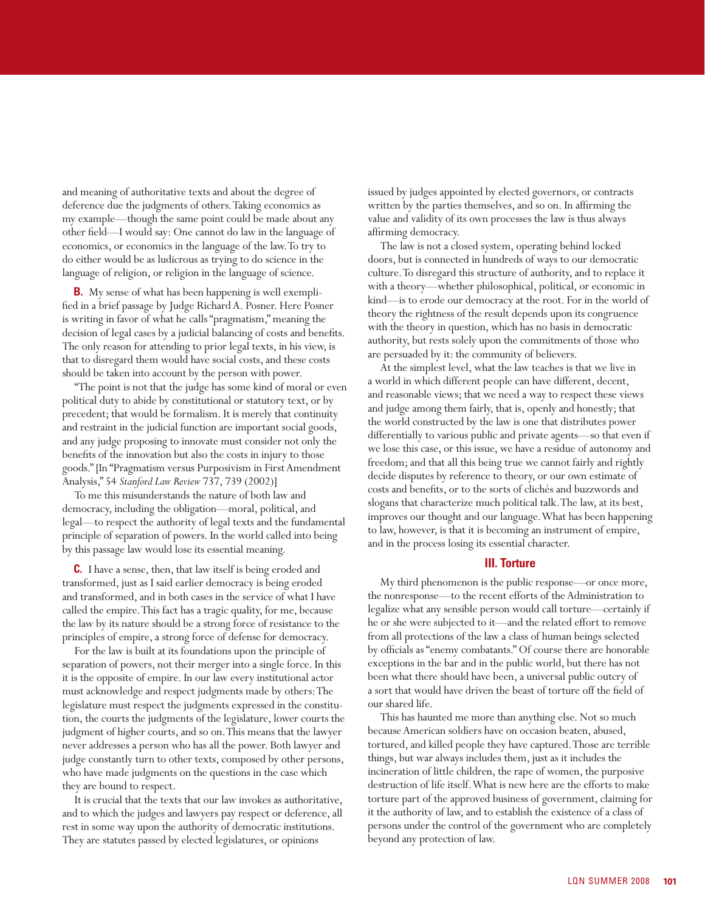and meaning of authoritative texts and about the degree of deference due the judgments of others. Taking economics as my example—though the same point could be made about any other field—I would say: One cannot do law in the language of economics, or economics in the language of the law. To try to do either would be as ludicrous as trying to do science in the language of religion, or religion in the language of science.

**B.** My sense of what has been happening is well exemplified in a brief passage by Judge Richard A. Posner. Here Posner is writing in favor of what he calls "pragmatism," meaning the decision of legal cases by a judicial balancing of costs and benefits. The only reason for attending to prior legal texts, in his view, is that to disregard them would have social costs, and these costs should be taken into account by the person with power.

"The point is not that the judge has some kind of moral or even political duty to abide by constitutional or statutory text, or by precedent; that would be formalism. It is merely that continuity and restraint in the judicial function are important social goods, and any judge proposing to innovate must consider not only the benefits of the innovation but also the costs in injury to those goods." [In "Pragmatism versus Purposivism in First Amendment Analysis," 54 *Stanford Law Review* 737, 739 (2002)]

To me this misunderstands the nature of both law and democracy, including the obligation—moral, political, and legal—to respect the authority of legal texts and the fundamental principle of separation of powers. In the world called into being by this passage law would lose its essential meaning.

**C.** I have a sense, then, that law itself is being eroded and transformed, just as I said earlier democracy is being eroded and transformed, and in both cases in the service of what I have called the empire. This fact has a tragic quality, for me, because the law by its nature should be a strong force of resistance to the principles of empire, a strong force of defense for democracy.

For the law is built at its foundations upon the principle of separation of powers, not their merger into a single force. In this it is the opposite of empire. In our law every institutional actor must acknowledge and respect judgments made by others: The legislature must respect the judgments expressed in the constitution, the courts the judgments of the legislature, lower courts the judgment of higher courts, and so on. This means that the lawyer never addresses a person who has all the power. Both lawyer and judge constantly turn to other texts, composed by other persons, who have made judgments on the questions in the case which they are bound to respect.

It is crucial that the texts that our law invokes as authoritative, and to which the judges and lawyers pay respect or deference, all rest in some way upon the authority of democratic institutions. They are statutes passed by elected legislatures, or opinions

issued by judges appointed by elected governors, or contracts written by the parties themselves, and so on. In affirming the value and validity of its own processes the law is thus always affirming democracy.

The law is not a closed system, operating behind locked doors, but is connected in hundreds of ways to our democratic culture. To disregard this structure of authority, and to replace it with a theory—whether philosophical, political, or economic in kind—is to erode our democracy at the root. For in the world of theory the rightness of the result depends upon its congruence with the theory in question, which has no basis in democratic authority, but rests solely upon the commitments of those who are persuaded by it: the community of believers.

At the simplest level, what the law teaches is that we live in a world in which different people can have different, decent, and reasonable views; that we need a way to respect these views and judge among them fairly, that is, openly and honestly; that the world constructed by the law is one that distributes power differentially to various public and private agents—so that even if we lose this case, or this issue, we have a residue of autonomy and freedom; and that all this being true we cannot fairly and rightly decide disputes by reference to theory, or our own estimate of costs and benefits, or to the sorts of clichés and buzzwords and slogans that characterize much political talk. The law, at its best, improves our thought and our language. What has been happening to law, however, is that it is becoming an instrument of empire, and in the process losing its essential character.

### **III. Torture**

My third phenomenon is the public response—or once more, the nonresponse—to the recent efforts of the Administration to legalize what any sensible person would call torture—certainly if he or she were subjected to it—and the related effort to remove from all protections of the law a class of human beings selected by officials as "enemy combatants." Of course there are honorable exceptions in the bar and in the public world, but there has not been what there should have been, a universal public outcry of a sort that would have driven the beast of torture off the field of our shared life.

This has haunted me more than anything else. Not so much because American soldiers have on occasion beaten, abused, tortured, and killed people they have captured. Those are terrible things, but war always includes them, just as it includes the incineration of little children, the rape of women, the purposive destruction of life itself. What is new here are the efforts to make torture part of the approved business of government, claiming for it the authority of law, and to establish the existence of a class of persons under the control of the government who are completely beyond any protection of law.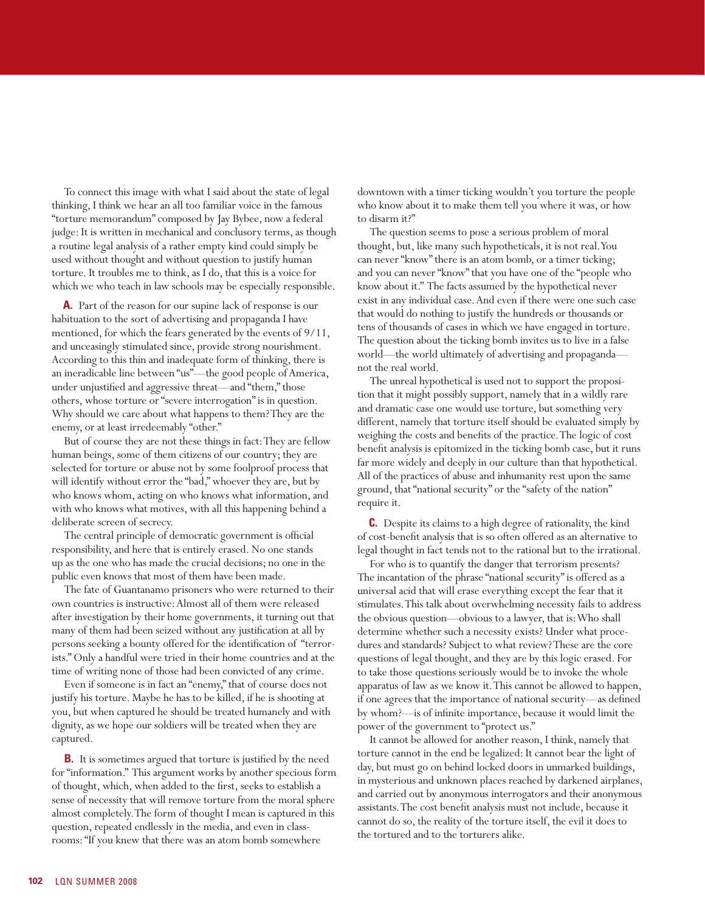To connect this image with what I said about the state of legal thinking, I think we hear an all too familiar voice in the famous "torture memorandum" composed by Jay Bybee, now a federal judge: It is written in mechanical and conclusory terms, as though a routine legal analysis of a rather empty kind could simply be used without thought and without question to justify human torture. It troubles me to think, as I do, that this is a voice for which we who teach in law schools may be especially responsible.

**A.** Part of the reason for our supine lack of response is our habituation to the sort of advertising and propaganda I have mentioned, for which the fears generated by the events of 9/11, and unceasingly stimulated since, provide strong nourishment. According to this thin and inadequate form of thinking, there is an ineradicable line between "us"—the good people of America, under unjustified and aggressive threat—and "them," those others, whose torture or "severe interrogation" is in question. Why should we care about what happens to them? They are the enemy, or at least irredeemably "other."

But of course they are not these things in fact: They are fellow human beings, some of them citizens of our country; they are selected for torture or abuse not by some foolproof process that will identify without error the "bad," whoever they are, but by who knows whom, acting on who knows what information, and with who knows what motives, with all this happening behind a deliberate screen of secrecy.

The central principle of democratic government is official responsibility, and here that is entirely erased. No one stands up as the one who has made the crucial decisions; no one in the public even knows that most of them have been made.

The fate of Guantanamo prisoners who were returned to their own countries is instructive: Almost all of them were released after investigation by their home governments, it turning out that many of them had been seized without any justification at all by persons seeking a bounty offered for the identification of "terrorists." Only a handful were tried in their home countries and at the time of writing none of those had been convicted of any crime.

Even if someone is in fact an "enemy," that of course does not justify his torture. Maybe he has to be killed, if he is shooting at you, but when captured he should be treated humanely and with dignity, as we hope our soldiers will be treated when they are captured.

**B.** It is sometimes argued that torture is justified by the need for "information." This argument works by another specious form of thought, which, when added to the first, seeks to establish a sense of necessity that will remove torture from the moral sphere almost completely. The form of thought I mean is captured in this question, repeated endlessly in the media, and even in classrooms: "If you knew that there was an atom bomb somewhere

downtown with a timer ticking wouldn't you torture the people who know about it to make them tell you where it was, or how to disarm it?"

The question seems to pose a serious problem of moral thought, but, like many such hypotheticals, it is not real. You can never "know" there is an atom bomb, or a timer ticking; and you can never "know" that you have one of the "people who know about it." The facts assumed by the hypothetical never exist in any individual case. And even if there were one such case that would do nothing to justify the hundreds or thousands or tens of thousands of cases in which we have engaged in torture. The question about the ticking bomb invites us to live in a false world—the world ultimately of advertising and propaganda not the real world.

The unreal hypothetical is used not to support the proposition that it might possibly support, namely that in a wildly rare and dramatic case one would use torture, but something very different, namely that torture itself should be evaluated simply by weighing the costs and benefits of the practice. The logic of cost benefit analysis is epitomized in the ticking bomb case, but it runs far more widely and deeply in our culture than that hypothetical. All of the practices of abuse and inhumanity rest upon the same ground, that "national security" or the "safety of the nation" require it.

**C.** Despite its claims to a high degree of rationality, the kind of cost-benefit analysis that is so often offered as an alternative to legal thought in fact tends not to the rational but to the irrational.

For who is to quantify the danger that terrorism presents? The incantation of the phrase "national security" is offered as a universal acid that will erase everything except the fear that it stimulates. This talk about overwhelming necessity fails to address the obvious question—obvious to a lawyer, that is: Who shall determine whether such a necessity exists? Under what procedures and standards? Subject to what review? These are the core questions of legal thought, and they are by this logic erased. For to take those questions seriously would be to invoke the whole apparatus of law as we know it. This cannot be allowed to happen, if one agrees that the importance of national security—as defined by whom?—is of infinite importance, because it would limit the power of the government to "protect us."

It cannot be allowed for another reason, I think, namely that torture cannot in the end be legalized: It cannot bear the light of day, but must go on behind locked doors in unmarked buildings, in mysterious and unknown places reached by darkened airplanes, and carried out by anonymous interrogators and their anonymous assistants. The cost benefit analysis must not include, because it cannot do so, the reality of the torture itself, the evil it does to the tortured and to the torturers alike.